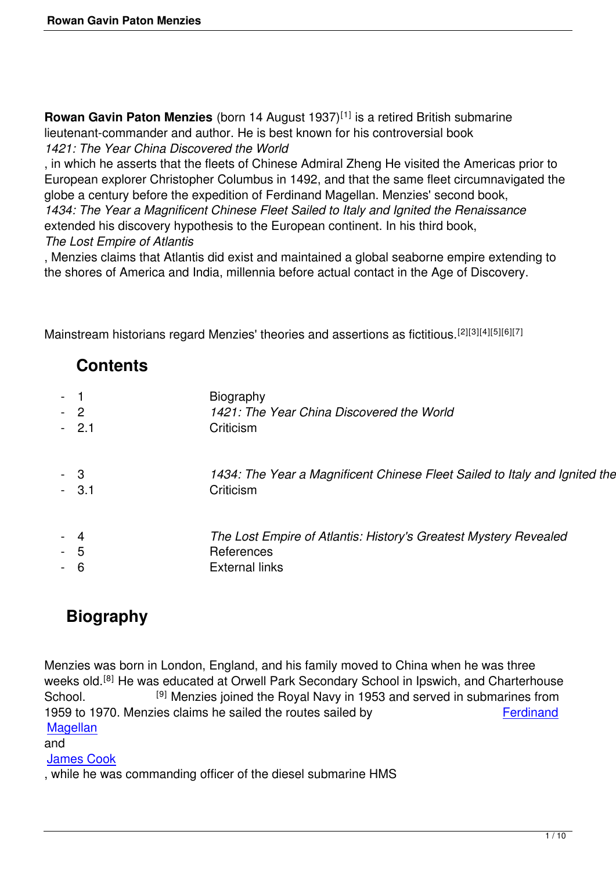**Rowan Gavin Paton Menzies** (born 14 August 1937)<sup>[1]</sup> is a retired British submarine lieutenant-commander and author. He is best known for his controversial book *1421: The Year China Discovered the World*

, in which he asserts that the fleets of Chinese Admiral Zheng He visited the Americas prior to European explorer Christopher Columbus in 1492, and that the same fleet circumnavigated the globe a century before the expedition of Ferdinand Magellan. Menzies' second book,

*1434: The Year a Magnificent Chinese Fleet Sailed to Italy and Ignited the Renaissance* extended his discovery hypothesis to the European continent. In his third book,

### *The Lost Empire of Atlantis*

, Menzies claims that Atlantis did exist and maintained a global seaborne empire extending to the shores of America and India, millennia before actual contact in the Age of Discovery.

Mainstream historians regard Menzies' theories and assertions as fictitious.<sup>[2][3][4][5][6][7]</sup>

## **Contents**

| $-2$<br>$-2.1$ | Biography<br>1421: The Year China Discovered the World<br>Criticism                                     |
|----------------|---------------------------------------------------------------------------------------------------------|
| - 3<br>$-3.1$  | 1434: The Year a Magnificent Chinese Fleet Sailed to Italy and Ignited the Re<br>Criticism              |
| $-5$<br>- 6    | The Lost Empire of Atlantis: History's Greatest Mystery Revealed<br>References<br><b>External links</b> |

# **Biography**

Menzies was born in London, England, and his family moved to China when he was three weeks old.<sup>[8]</sup> He was educated at Orwell Park Secondary School in Ipswich, and Charterhouse School. <sup>[9]</sup> Menzies joined the Royal Navy in 1953 and served in submarines from 1959 to 1970. Menzies claims he sailed the routes sailed by Ferdinand **Magellan** 

and

### James Cook

[, while he](http://en.wikipedia.org/wiki/Ferdinand_Magellan) was commanding officer of the diesel submarine HMS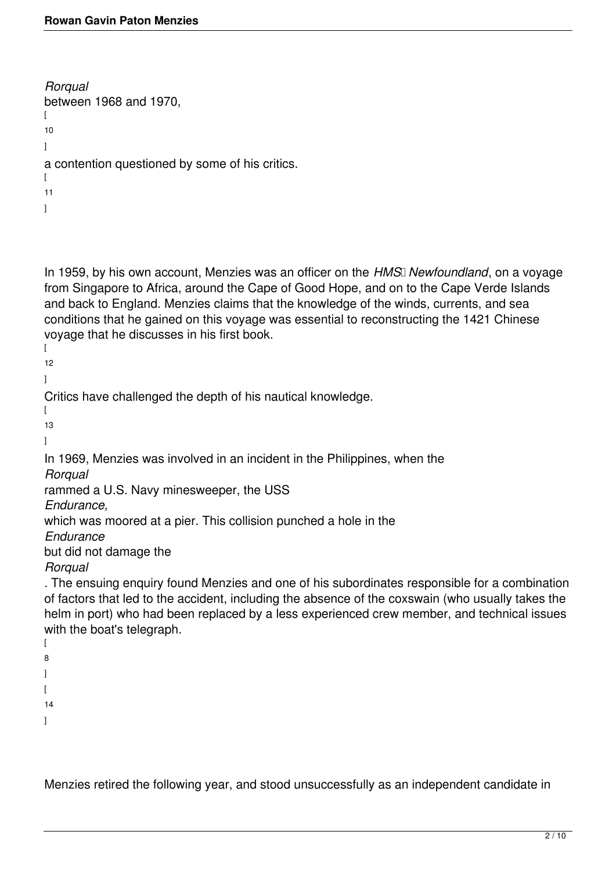```
Rorqual
between 1968 and 1970,
\lceil10
]
a contention questioned by some of his critics.
\sqrt{ }11
]
```
In 1959, by his own account, Menzies was an officer on the *HMS* Newfoundland, on a voyage from Singapore to Africa, around the Cape of Good Hope, and on to the Cape Verde Islands and back to England. Menzies claims that the knowledge of the winds, currents, and sea conditions that he gained on this voyage was essential to reconstructing the 1421 Chinese voyage that he discusses in his first book.

 $\sqrt{2}$ 12

]

Critics have challenged the depth of his nautical knowledge.

 $\sqrt{ }$ 13

]

In 1969, Menzies was involved in an incident in the Philippines, when the

*Rorqual*

rammed a U.S. Navy minesweeper, the USS

*Endurance,*

which was moored at a pier. This collision punched a hole in the

*Endurance*

but did not damage the

*Rorqual*

. The ensuing enquiry found Menzies and one of his subordinates responsible for a combination of factors that led to the accident, including the absence of the coxswain (who usually takes the helm in port) who had been replaced by a less experienced crew member, and technical issues with the boat's telegraph.  $\overline{ }$ 

8 ]  $\overline{1}$ 

14

]

Menzies retired the following year, and stood unsuccessfully as an independent candidate in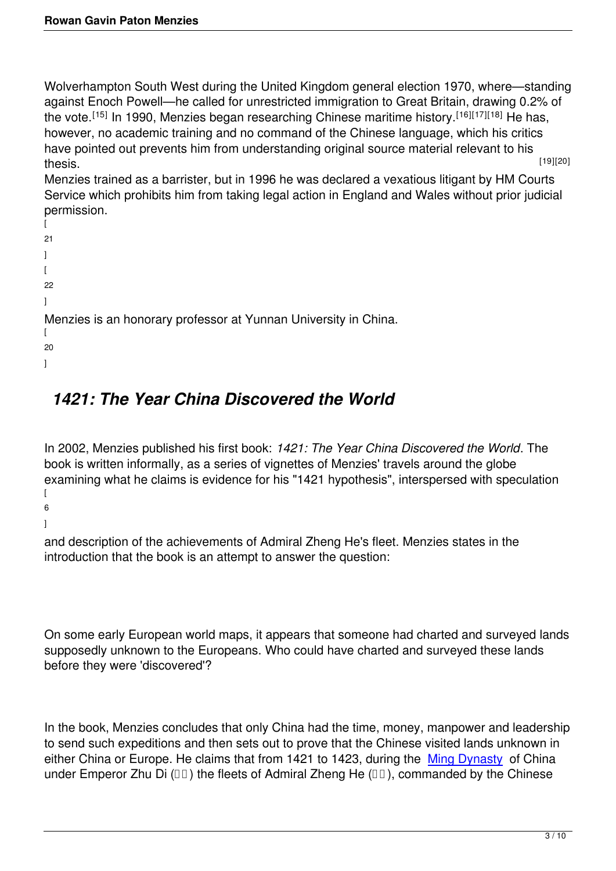Wolverhampton South West during the United Kingdom general election 1970, where—standing against Enoch Powell—he called for unrestricted immigration to Great Britain, drawing 0.2% of the vote.<sup>[15]</sup> In 1990, Menzies began researching Chinese maritime history.<sup>[16][17][18]</sup> He has, however, no academic training and no command of the Chinese language, which his critics have pointed out prevents him from understanding original source material relevant to his  $\lambda$  thesis. Thesis is a set of the set of the set of the set of the set of the set of the set of the set of the set of the set of the set of the set of the set of the set of the set of the set of the set of the set of th

Menzies trained as a barrister, but in 1996 he was declared a vexatious litigant by HM Courts Service which prohibits him from taking legal action in England and Wales without prior judicial permission.

```
\Gamma21
]
\Gamma22
]
Menzies is an honorary professor at Yunnan University in China.
\Gamma20
]
```
# *1421: The Year China Discovered the World*

In 2002, Menzies published his first book: *1421: The Year China Discovered the World*. The book is written informally, as a series of vignettes of Menzies' travels around the globe examining what he claims is evidence for his "1421 hypothesis", interspersed with speculation  $\Gamma$ 6

]

and description of the achievements of Admiral Zheng He's fleet. Menzies states in the introduction that the book is an attempt to answer the question:

On some early European world maps, it appears that someone had charted and surveyed lands supposedly unknown to the Europeans. Who could have charted and surveyed these lands before they were 'discovered'?

In the book, Menzies concludes that only China had the time, money, manpower and leadership to send such expeditions and then sets out to prove that the Chinese visited lands unknown in either China or Europe. He claims that from 1421 to 1423, during the Ming Dynasty of China under Emperor Zhu Di  $(\Box \Box)$  the fleets of Admiral Zheng He  $(\Box \Box)$ , commanded by the Chinese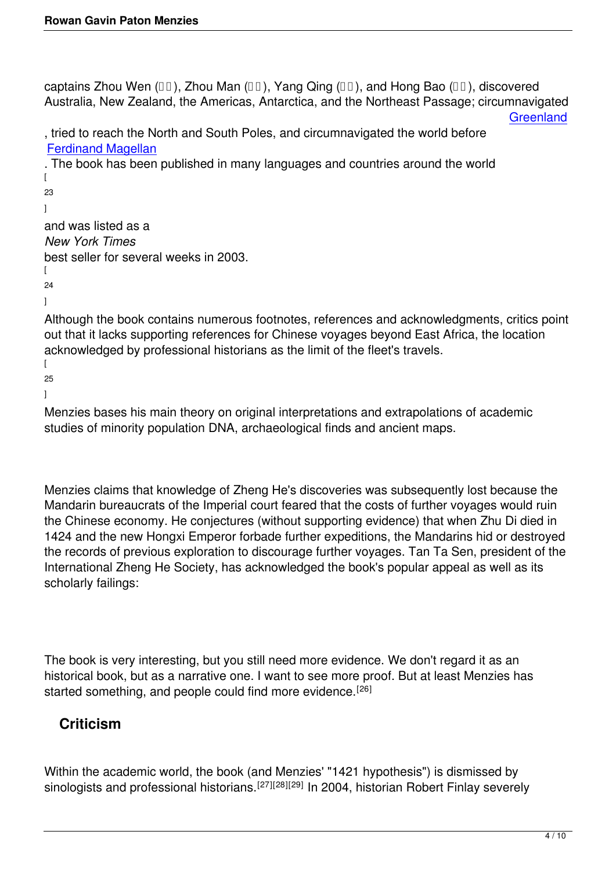captains Zhou Wen ( $\Box$ ), Zhou Man ( $\Box$ ), Yang Qing ( $\Box$ ), and Hong Bao ( $\Box$ ), discovered Australia, New Zealand, the Americas, Antarctica, and the Northeast Passage; circumnavigated

**Greenland** 

, tried to reach the North and South Poles, and circumnavigated the world before Ferdinand Magellan

. The book has been published in many languages and countries around the world  $\Gamma$ [23](http://en.wikipedia.org/wiki/Ferdinand_Magellan) ] and was listed as a *New York Times* best seller for several weeks in 2003.  $\Gamma$ 24 ] Although the book contains numerous footnotes, references and acknowledgments, critics point out that it lacks supporting references for Chinese voyages beyond East Africa, the location acknowledged by professional historians as the limit of the fleet's travels. [ 25 ]

Menzies bases his main theory on original interpretations and extrapolations of academic studies of minority population DNA, archaeological finds and ancient maps.

Menzies claims that knowledge of Zheng He's discoveries was subsequently lost because the Mandarin bureaucrats of the Imperial court feared that the costs of further voyages would ruin the Chinese economy. He conjectures (without supporting evidence) that when Zhu Di died in 1424 and the new Hongxi Emperor forbade further expeditions, the Mandarins hid or destroyed the records of previous exploration to discourage further voyages. Tan Ta Sen, president of the International Zheng He Society, has acknowledged the book's popular appeal as well as its scholarly failings:

The book is very interesting, but you still need more evidence. We don't regard it as an historical book, but as a narrative one. I want to see more proof. But at least Menzies has started something, and people could find more evidence.<sup>[26]</sup>

## **Criticism**

Within the academic world, the book (and Menzies' "1421 hypothesis") is dismissed by sinologists and professional historians.<sup>[27][28][29]</sup> In 2004, historian Robert Finlay severely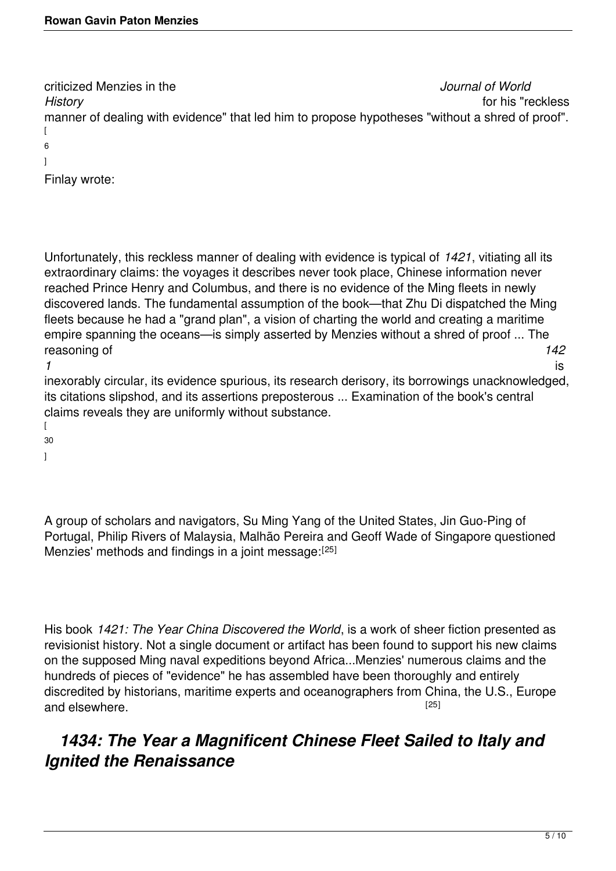criticized Menzies in the *Journal of World History* for his "reckless manner of dealing with evidence" that led him to propose hypotheses "without a shred of proof". [ 6 ]

Finlay wrote:

Unfortunately, this reckless manner of dealing with evidence is typical of *1421*, vitiating all its extraordinary claims: the voyages it describes never took place, Chinese information never reached Prince Henry and Columbus, and there is no evidence of the Ming fleets in newly discovered lands. The fundamental assumption of the book—that Zhu Di dispatched the Ming fleets because he had a "grand plan", a vision of charting the world and creating a maritime empire spanning the oceans—is simply asserted by Menzies without a shred of proof ... The reasoning of *142*

*1* is inexorably circular, its evidence spurious, its research derisory, its borrowings unacknowledged, its citations slipshod, and its assertions preposterous ... Examination of the book's central claims reveals they are uniformly without substance.

 $\sqrt{2}$ 30

]

A group of scholars and navigators, Su Ming Yang of the United States, Jin Guo-Ping of Portugal, Philip Rivers of Malaysia, Malhão Pereira and Geoff Wade of Singapore questioned Menzies' methods and findings in a joint message: [25]

His book *1421: The Year China Discovered the World*, is a work of sheer fiction presented as revisionist history. Not a single document or artifact has been found to support his new claims on the supposed Ming naval expeditions beyond Africa...Menzies' numerous claims and the hundreds of pieces of "evidence" he has assembled have been thoroughly and entirely discredited by historians, maritime experts and oceanographers from China, the U.S., Europe and elsewhere. **Example 2018** 2019 12:51

## *1434: The Year a Magnificent Chinese Fleet Sailed to Italy and Ignited the Renaissance*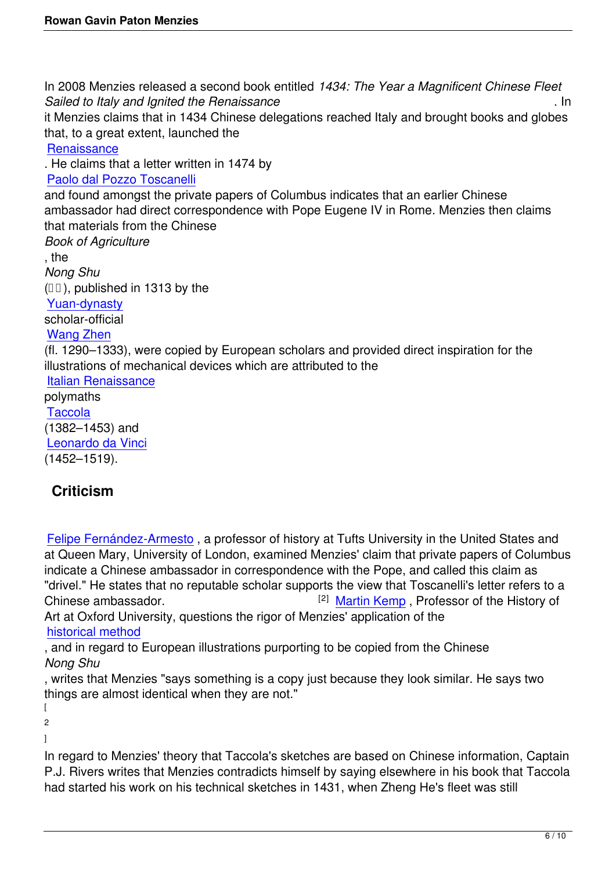In 2008 Menzies released a second book entitled *1434: The Year a Magnificent Chinese Fleet Sailed to Italy and Ignited the Renaissance* . In it Menzies claims that in 1434 Chinese delegations reached Italy and brought books and globes that, to a great extent, launched the **Renaissance** . He claims that a letter written in 1474 by Paolo dal Pozzo Toscanelli [and found am](http://en.wikipedia.org/wiki/Renaissance)ongst the private papers of Columbus indicates that an earlier Chinese ambassador had direct correspondence with Pope Eugene IV in Rome. Menzies then claims [that materials from the Chin](http://en.wikipedia.org/wiki/Paolo_dal_Pozzo_Toscanelli)ese *Book of Agriculture* , the *Nong Shu*  $(III)$ , published in 1313 by the Yuan-dynasty scholar-official Wang Zhen [\(fl. 1290–1333](http://en.wikipedia.org/wiki/Yuan_Dynasty)), were copied by European scholars and provided direct inspiration for the illustrations of mechanical devices which are attributed to the [Italian Rena](http://en.wikipedia.org/wiki/Wang_Zhen_%28official%29)issance polymaths **Taccola** [\(1382–1453\) and](http://en.wikipedia.org/wiki/Italian_Renaissance)  Leonardo da Vinci [\(1452–15](http://en.wikipedia.org/wiki/Taccola)19).

## **[Criticism](https://www.artsy.net/artist/leonardo-da-vinci)**

Felipe Fernández-Armesto , a professor of history at Tufts University in the United States and at Queen Mary, University of London, examined Menzies' claim that private papers of Columbus indicate a Chinese ambassador in correspondence with the Pope, and called this claim as ["drivel." He states that no re](http://en.wikipedia.org/wiki/Felipe_Fern%C3%A1ndez-Armesto)putable scholar supports the view that Toscanelli's letter refers to a Chinese ambassador. **Example 2** Martin Kemp , Professor of the History of Art at Oxford University, questions the rigor of Menzies' application of the historical method

, and in regard to European illustrations purporting to [be copied fro](http://en.wikipedia.org/wiki/Martin_Kemp_%28art_historian%29)m the Chinese *Nong Shu*

[, writes that Menz](http://en.wikipedia.org/wiki/Historical_method)ies "says something is a copy just because they look similar. He says two things are almost identical when they are not."

 $\mathbf{I}$ 2

 $\mathbf{I}$ 

In regard to Menzies' theory that Taccola's sketches are based on Chinese information, Captain P.J. Rivers writes that Menzies contradicts himself by saying elsewhere in his book that Taccola had started his work on his technical sketches in 1431, when Zheng He's fleet was still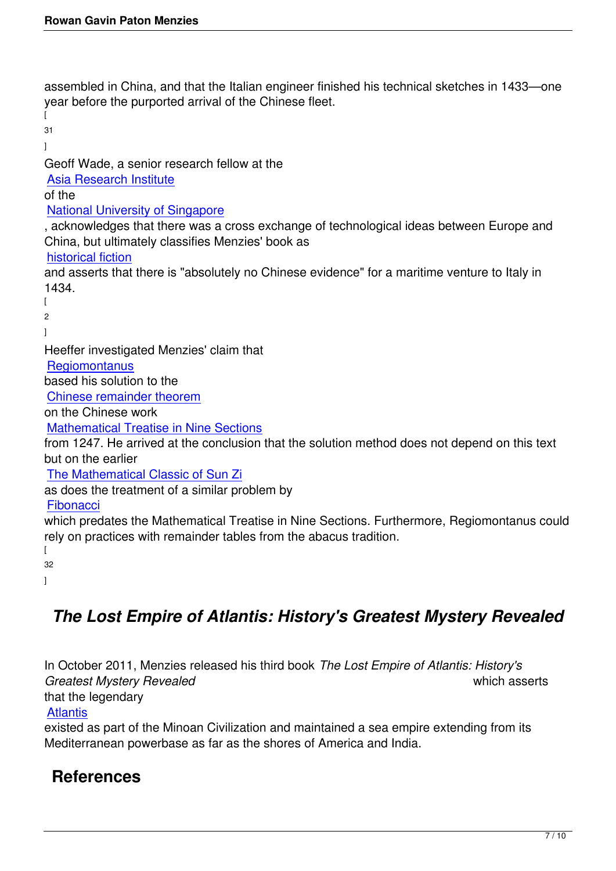assembled in China, and that the Italian engineer finished his technical sketches in 1433—one year before the purported arrival of the Chinese fleet.

 $\sqrt{2}$ 31 ] Geoff Wade, a senior research fellow at the Asia Research Institute of the National University of Singapore [, acknowledges that ther](http://www.ari.nus.edu.sg/article_view.asp?id=1)e was a cross exchange of technological ideas between Europe and China, but ultimately classifies Menzies' book as [historical fiction](http://en.wikipedia.org/wiki/National_University_of_Singapore) and asserts that there is "absolutely no Chinese evidence" for a maritime venture to Italy in 1434.  $\overline{[}$ [2](http://en.wikipedia.org/wiki/Historical_fiction) ] Heeffer investigated Menzies' claim that **Regiomontanus** based his solution to the Chinese remainder theorem [on the Chinese w](http://en.wikipedia.org/wiki/Regiomontanus)ork Mathematical Treatise in Nine Sections [from 1247. He arrived at the](http://en.wikipedia.org/wiki/Chinese_remainder_theorem) conclusion that the solution method does not depend on this text but on the earlier [The Mathematical Classic of Sun Zi](http://en.wikipedia.org/wiki/Mathematical_Treatise_in_Nine_Sections) as does the treatment of a similar problem by **Fibonacci** [which predates the Mathematical Tre](http://en.wikipedia.org/wiki/The_Mathematical_Classic_of_Sun_Zi)atise in Nine Sections. Furthermore, Regiomontanus could rely on practices with remainder tables from the abacus tradition.  $\Gamma$ [32](http://en.wikipedia.org/wiki/Fibonacci) ]

## *The Lost Empire of Atlantis: History's Greatest Mystery Revealed*

In October 2011, Menzies released his third book *The Lost Empire of Atlantis: History's Greatest Mystery Revealed* which asserts that the legendary

#### **Atlantis**

existed as part of the Minoan Civilization and maintained a sea empire extending from its Mediterranean powerbase as far as the shores of America and India.

## **[Refer](http://en.wikipedia.org/wiki/Atlantis)ences**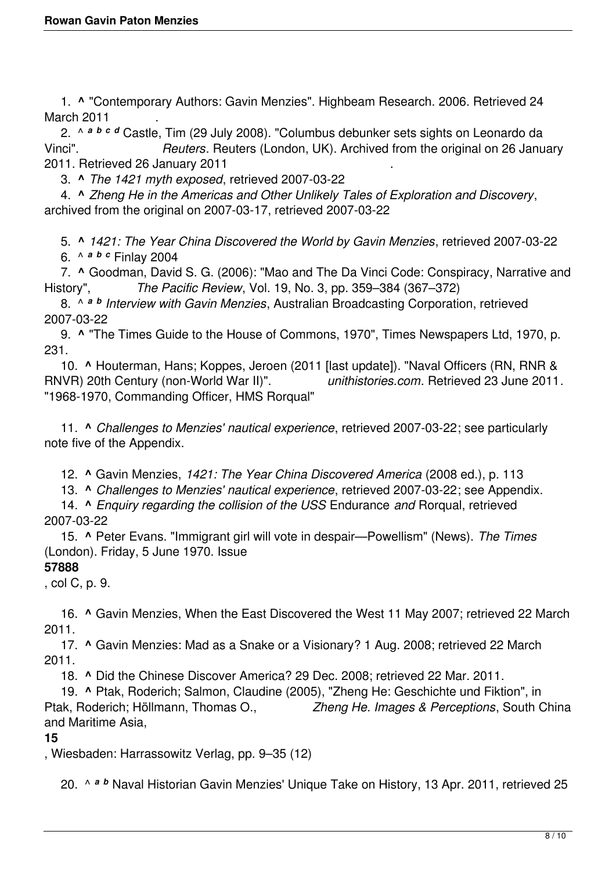1. **^** "Contemporary Authors: Gavin Menzies". Highbeam Research. 2006. Retrieved 24 March 2011

 2. ^ *<sup>a</sup> <sup>b</sup> <sup>c</sup> <sup>d</sup>* Castle, Tim (29 July 2008). "Columbus debunker sets sights on Leonardo da Vinci". *Reuters*. Reuters (London, UK). Archived from the original on 26 January 2011. Retrieved 26 January 2011

3. **^** *The 1421 myth exposed*, retrieved 2007-03-22

 4. **^** *Zheng He in the Americas and Other Unlikely Tales of Exploration and Discovery*, archived from the original on 2007-03-17, retrieved 2007-03-22

5. **^** *1421: The Year China Discovered the World by Gavin Menzies*, retrieved 2007-03-22

6. ^ *<sup>a</sup> <sup>b</sup> <sup>c</sup>* Finlay 2004

 7. **^** Goodman, David S. G. (2006): "Mao and The Da Vinci Code: Conspiracy, Narrative and History", *The Pacific Review*, Vol. 19, No. 3, pp. 359–384 (367–372)

 8. ^ *<sup>a</sup> <sup>b</sup> Interview with Gavin Menzies*, Australian Broadcasting Corporation, retrieved 2007-03-22

 9. **^** "The Times Guide to the House of Commons, 1970", Times Newspapers Ltd, 1970, p. 231.

 10. **^** Houterman, Hans; Koppes, Jeroen (2011 [last update]). "Naval Officers (RN, RNR & RNVR) 20th Century (non-World War II)". *unithistories.com*. Retrieved 23 June 2011. "1968-1970, Commanding Officer, HMS Rorqual"

 11. **^** *Challenges to Menzies' nautical experience*, retrieved 2007-03-22; see particularly note five of the Appendix.

12. **^** Gavin Menzies, *1421: The Year China Discovered America* (2008 ed.), p. 113

13. **^** *Challenges to Menzies' nautical experience*, retrieved 2007-03-22; see Appendix.

 14. **^** *Enquiry regarding the collision of the USS* Endurance *and* Rorqual, retrieved 2007-03-22

 15. **^** Peter Evans. "Immigrant girl will vote in despair—Powellism" (News). *The Times* (London). Friday, 5 June 1970. Issue

### **57888**

, col C, p. 9.

 16. **^** Gavin Menzies, When the East Discovered the West 11 May 2007; retrieved 22 March 2011.

 17. **^** Gavin Menzies: Mad as a Snake or a Visionary? 1 Aug. 2008; retrieved 22 March 2011.

18. **^** Did the Chinese Discover America? 29 Dec. 2008; retrieved 22 Mar. 2011.

 19. **^** Ptak, Roderich; Salmon, Claudine (2005), "Zheng He: Geschichte und Fiktion", in Ptak, Roderich; Höllmann, Thomas O., *Zheng He. Images & Perceptions*, South China and Maritime Asia,

### **15**

, Wiesbaden: Harrassowitz Verlag, pp. 9–35 (12)

20. ^ *<sup>a</sup> <sup>b</sup>* Naval Historian Gavin Menzies' Unique Take on History, 13 Apr. 2011, retrieved 25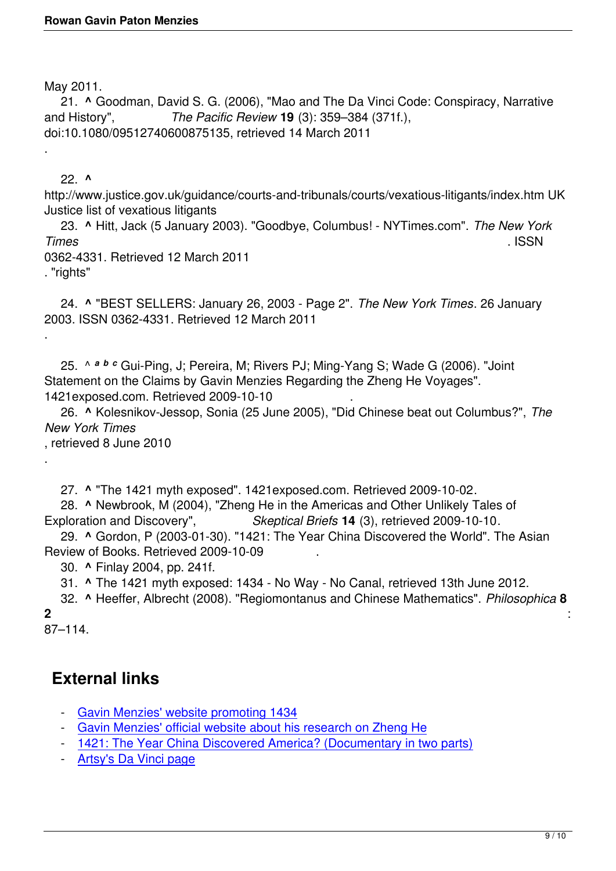May 2011.

 21. **^** Goodman, David S. G. (2006), "Mao and The Da Vinci Code: Conspiracy, Narrative and History", *The Pacific Review* **19** (3): 359–384 (371f.), doi:10.1080/09512740600875135, retrieved 14 March 2011

.

 22. **^** http://www.justice.gov.uk/guidance/courts-and-tribunals/courts/vexatious-litigants/index.htm UK Justice list of vexatious litigants

 23. **^** Hitt, Jack (5 January 2003). "Goodbye, Columbus! - NYTimes.com". *The New York Times* . ISSN

0362-4331. Retrieved 12 March 2011

. "rights"

.

.

 24. **^** "BEST SELLERS: January 26, 2003 - Page 2". *The New York Times*. 26 January 2003. ISSN 0362-4331. Retrieved 12 March 2011

 25. ^ *<sup>a</sup> <sup>b</sup> <sup>c</sup>* Gui-Ping, J; Pereira, M; Rivers PJ; Ming-Yang S; Wade G (2006). "Joint Statement on the Claims by Gavin Menzies Regarding the Zheng He Voyages". 1421exposed.com. Retrieved 2009-10-10 .

 26. **^** Kolesnikov-Jessop, Sonia (25 June 2005), "Did Chinese beat out Columbus?", *The New York Times*

, retrieved 8 June 2010

27. **^** "The 1421 myth exposed". 1421exposed.com. Retrieved 2009-10-02.

 28. **^** Newbrook, M (2004), "Zheng He in the Americas and Other Unlikely Tales of Exploration and Discovery", *Skeptical Briefs* **14** (3), retrieved 2009-10-10.

 29. **^** Gordon, P (2003-01-30). "1421: The Year China Discovered the World". The Asian Review of Books. Retrieved 2009-10-09 .

30. **^** Finlay 2004, pp. 241f.

31. **^** The 1421 myth exposed: 1434 - No Way - No Canal, retrieved 13th June 2012.

 32. **^** Heeffer, Albrecht (2008). "Regiomontanus and Chinese Mathematics". *Philosophica* **8 2** : 87–114.

# **External links**

- Gavin Menzies' website promoting 1434
- Gavin Menzies' official website about his research on Zheng He
- 1421: The Year China Discovered America? (Documentary in two parts)
- [Artsy](http://www.gavinmenzies.net/)'[s Da Vinci page](http://www.gavinmenzies.net/)